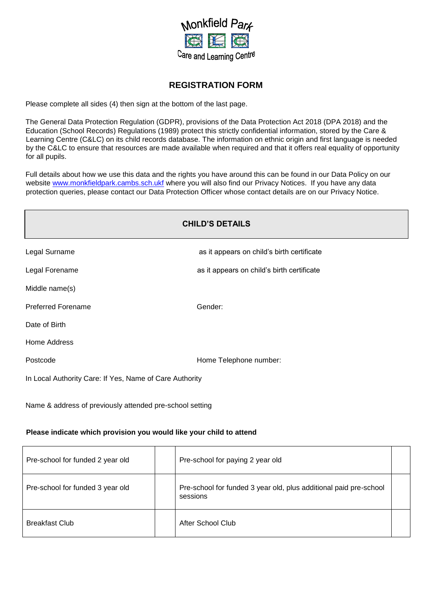

# **REGISTRATION FORM**

Please complete all sides (4) then sign at the bottom of the last page.

The General Data Protection Regulation (GDPR), provisions of the Data Protection Act 2018 (DPA 2018) and the Education (School Records) Regulations (1989) protect this strictly confidential information, stored by the Care & Learning Centre (C&LC) on its child records database. The information on ethnic origin and first language is needed by the C&LC to ensure that resources are made available when required and that it offers real equality of opportunity for all pupils.

Full details about how we use this data and the rights you have around this can be found in our Data Policy on our website [www.monkfieldpark.cambs.sch.ukf](http://www.monkfieldpark.cambs.sch.ukf/) [w](http://www.monkfieldpark.cambs.sch.ukf/)here you will also find our Privacy Notices. If you have any data protection queries, please contact our Data Protection Officer whose contact details are on our Privacy Notice.

| <b>CHILD'S DETAILS</b>                                  |                                            |  |
|---------------------------------------------------------|--------------------------------------------|--|
| Legal Surname                                           | as it appears on child's birth certificate |  |
| Legal Forename                                          | as it appears on child's birth certificate |  |
| Middle name(s)                                          |                                            |  |
| <b>Preferred Forename</b>                               | Gender:                                    |  |
| Date of Birth                                           |                                            |  |
| Home Address                                            |                                            |  |
| Postcode                                                | Home Telephone number:                     |  |
| In Local Authority Care: If Yes, Name of Care Authority |                                            |  |

Name & address of previously attended pre-school setting

#### **Please indicate which provision you would like your child to attend**

| Pre-school for funded 2 year old | Pre-school for paying 2 year old                                              |  |
|----------------------------------|-------------------------------------------------------------------------------|--|
| Pre-school for funded 3 year old | Pre-school for funded 3 year old, plus additional paid pre-school<br>sessions |  |
| <b>Breakfast Club</b>            | After School Club                                                             |  |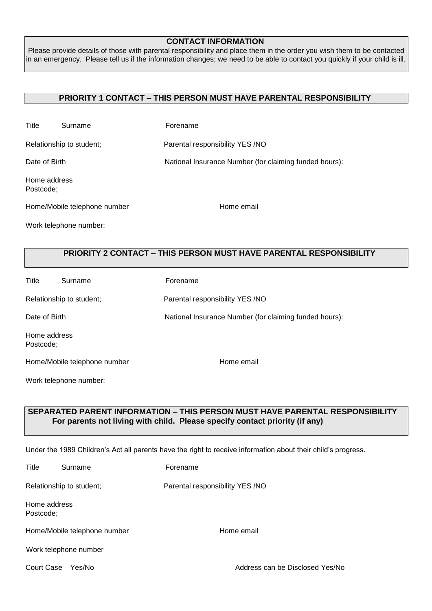# **CONTACT INFORMATION**

Please provide details of those with parental responsibility and place them in the order you wish them to be contacted in an emergency. Please tell us if the information changes; we need to be able to contact you quickly if your child is ill.

### **PRIORITY 1 CONTACT – THIS PERSON MUST HAVE PARENTAL RESPONSIBILITY**

Title Surname **Forename** 

Relationship to student; Parental responsibility YES /NO

Date of Birth **National Insurance Number** (for claiming funded hours):

Home address Postcode;

Home/Mobile telephone number https://www.mail.com/mobile/mobile telephone number

Work telephone number;

# **PRIORITY 2 CONTACT – THIS PERSON MUST HAVE PARENTAL RESPONSIBILITY**

| Title                     | Surname                      | Forename                                               |
|---------------------------|------------------------------|--------------------------------------------------------|
|                           | Relationship to student;     | Parental responsibility YES /NO                        |
| Date of Birth             |                              | National Insurance Number (for claiming funded hours): |
| Home address<br>Postcode: |                              |                                                        |
|                           | Home/Mobile telephone number | Home email                                             |
|                           | Work telephone number;       |                                                        |

### **SEPARATED PARENT INFORMATION – THIS PERSON MUST HAVE PARENTAL RESPONSIBILITY For parents not living with child. Please specify contact priority (if any)**

Under the 1989 Children's Act all parents have the right to receive information about their child's progress.

| Title                     | Surname                      | Forename                        |
|---------------------------|------------------------------|---------------------------------|
|                           | Relationship to student;     | Parental responsibility YES /NO |
| Home address<br>Postcode; |                              |                                 |
|                           | Home/Mobile telephone number | Home email                      |
|                           | Work telephone number        |                                 |
| Court Case                | Yes/No                       | Address can be Disclosed Yes/No |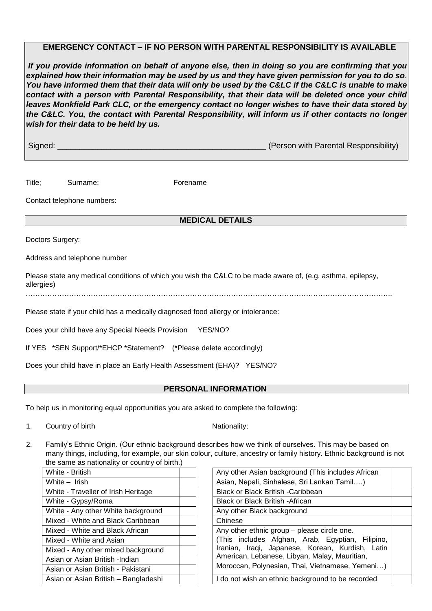### **EMERGENCY CONTACT – IF NO PERSON WITH PARENTAL RESPONSIBILITY IS AVAILABLE**

*If you provide information on behalf of anyone else, then in doing so you are confirming that you explained how their information may be used by us and they have given permission for you to do so*. *You have informed them that their data will only be used by the C&LC if the C&LC is unable to make contact with a person with Parental Responsibility, that their data will be deleted once your child leaves Monkfield Park CLC, or the emergency contact no longer wishes to have their data stored by the C&LC. You, the contact with Parental Responsibility, will inform us if other contacts no longer wish for their data to be held by us.*

| Signed: | (Person with Parental Responsibility) |
|---------|---------------------------------------|
|         |                                       |

Title; Surname; example 5 Surname Surname Forename

Contact telephone numbers:

#### **MEDICAL DETAILS**

Doctors Surgery:

Address and telephone number

Please state any medical conditions of which you wish the C&LC to be made aware of, (e.g. asthma, epilepsy, allergies)

……………………………………………………………………………………………………………………………………..

Please state if your child has a medically diagnosed food allergy or intolerance:

Does your child have any Special Needs Provision YES/NO?

If YES \*SEN Support/\*EHCP \*Statement? (\*Please delete accordingly)

Does your child have in place an Early Health Assessment (EHA)? YES/NO?

#### **PERSONAL INFORMATION**

To help us in monitoring equal opportunities you are asked to complete the following:

1. Country of birth Nationality;

2. Family's Ethnic Origin. (Our ethnic background describes how we think of ourselves. This may be based on many things, including, for example, our skin colour, culture, ancestry or family history. Ethnic background is not the same as nationality or country of birth.)

| White - British                      | Any other Asian background (This includes African |
|--------------------------------------|---------------------------------------------------|
| White - Irish                        | Asian, Nepali, Sinhalese, Sri Lankan Tamil)       |
| White - Traveller of Irish Heritage  | <b>Black or Black British -Caribbean</b>          |
| White - Gypsy/Roma                   | <b>Black or Black British - African</b>           |
| White - Any other White background   | Any other Black background                        |
| Mixed - White and Black Caribbean    | Chinese                                           |
| Mixed - White and Black African      | Any other ethnic group - please circle one.       |
| Mixed - White and Asian              | (This includes Afghan, Arab, Egyptian, Filipir    |
| Mixed - Any other mixed background   | Iranian, Iraqi, Japanese, Korean, Kurdish, La     |
| Asian or Asian British -Indian       | American, Lebanese, Libyan, Malay, Mauritian,     |
| Asian or Asian British - Pakistani   | Moroccan, Polynesian, Thai, Vietnamese, Yemeni.   |
| Asian or Asian British - Bangladeshi | I do not wish an ethnic background to be recorded |

| White - British                      | Any other Asian background (This includes African |  |
|--------------------------------------|---------------------------------------------------|--|
| White - Irish                        | Asian, Nepali, Sinhalese, Sri Lankan Tamil)       |  |
| White - Traveller of Irish Heritage  | Black or Black British -Caribbean                 |  |
| White - Gypsy/Roma                   | <b>Black or Black British - African</b>           |  |
| White - Any other White background   | Any other Black background                        |  |
| Mixed - White and Black Caribbean    | Chinese                                           |  |
| Mixed - White and Black African      | Any other ethnic group – please circle one.       |  |
| Mixed - White and Asian              | (This includes Afghan, Arab, Egyptian, Filipino,  |  |
| Mixed - Any other mixed background   | Iranian, Iraqi, Japanese, Korean, Kurdish, Latin  |  |
| Asian or Asian British -Indian       | American, Lebanese, Libyan, Malay, Mauritian,     |  |
| Asian or Asian British - Pakistani   | Moroccan, Polynesian, Thai, Vietnamese, Yemeni)   |  |
| Asian or Asian British – Bangladeshi | do not wish an ethnic background to be recorded   |  |